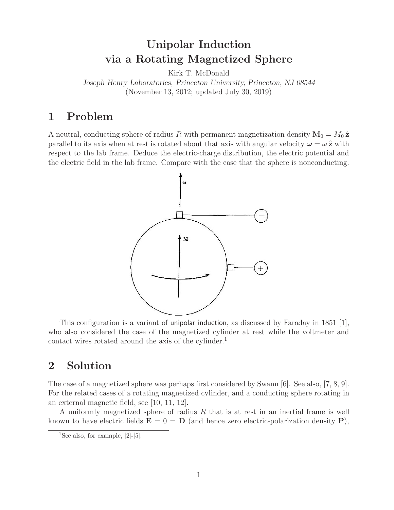# **Unipolar Induction via a Rotating Magnetized Sphere**

Kirk T. McDonald

*Joseph Henry Laboratories, Princeton University, Princeton, NJ 08544* (November 13, 2012; updated July 30, 2019)

### **1 Problem**

A neutral, conducting sphere of radius R with permanent magnetization density  $M_0 = M_0 \hat{z}$ parallel to its axis when at rest is rotated about that axis with angular velocity  $\omega = \omega \hat{z}$  with respect to the lab frame. Deduce the electric-charge distribution, the electric potential and the electric field in the lab frame. Compare with the case that the sphere is nonconducting.



This configuration is a variant of unipolar induction, as discussed by Faraday in 1851 [1], who also considered the case of the magnetized cylinder at rest while the voltmeter and contact wires rotated around the axis of the cylinder.<sup>1</sup>

### **2 Solution**

The case of a magnetized sphere was perhaps first considered by Swann [6]. See also, [7, 8, 9]. For the related cases of a rotating magnetized cylinder, and a conducting sphere rotating in an external magnetic field, see [10, 11, 12].

A uniformly magnetized sphere of radius R that is at rest in an inertial frame is well known to have electric fields  $\mathbf{E} = 0 = \mathbf{D}$  (and hence zero electric-polarization density **P**),

<sup>&</sup>lt;sup>1</sup>See also, for example,  $[2]-[5]$ .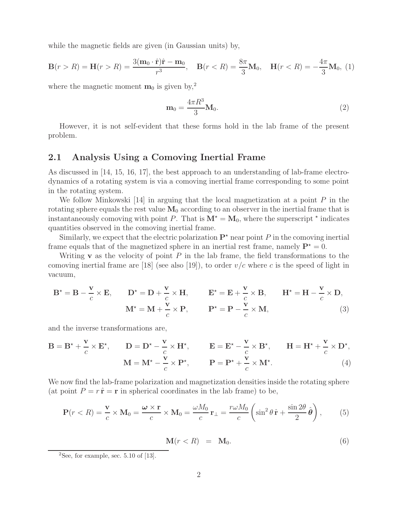while the magnetic fields are given (in Gaussian units) by,

$$
\mathbf{B}(r > R) = \mathbf{H}(r > R) = \frac{3(\mathbf{m}_0 \cdot \hat{\mathbf{r}})\hat{\mathbf{r}} - \mathbf{m}_0}{r^3}, \quad \mathbf{B}(r < R) = \frac{8\pi}{3}\mathbf{M}_0, \quad \mathbf{H}(r < R) = -\frac{4\pi}{3}\mathbf{M}_0, \tag{1}
$$

where the magnetic moment  $\mathbf{m}_0$  is given by,<sup>2</sup>

$$
\mathbf{m}_0 = \frac{4\pi R^3}{3} \mathbf{M}_0. \tag{2}
$$

However, it is not self-evident that these forms hold in the lab frame of the present problem.

#### **2.1 Analysis Using a Comoving Inertial Frame**

As discussed in [14, 15, 16, 17], the best approach to an understanding of lab-frame electrodynamics of a rotating system is via a comoving inertial frame corresponding to some point in the rotating system.

We follow Minkowski  $[14]$  in arguing that the local magnetization at a point P in the rotating sphere equals the rest value  $M_0$  according to an observer in the inertial frame that is instantaneously comoving with point P. That is  $M^* = M_0$ , where the superscript  $*$  indicates quantities observed in the comoving inertial frame.

Similarly, we expect that the electric polarization  $\mathbf{P}^{\star}$  near point P in the comoving inertial frame equals that of the magnetized sphere in an inertial rest frame, namely  $P^* = 0$ .

Writing **v** as the velocity of point  $P$  in the lab frame, the field transformations to the comoving inertial frame are [18] (see also [19]), to order  $v/c$  where c is the speed of light in vacuum,

$$
\mathbf{B}^* = \mathbf{B} - \frac{\mathbf{v}}{c} \times \mathbf{E}, \qquad \mathbf{D}^* = \mathbf{D} + \frac{\mathbf{v}}{c} \times \mathbf{H}, \qquad \mathbf{E}^* = \mathbf{E} + \frac{\mathbf{v}}{c} \times \mathbf{B}, \qquad \mathbf{H}^* = \mathbf{H} - \frac{\mathbf{v}}{c} \times \mathbf{D},
$$
  

$$
\mathbf{M}^* = \mathbf{M} + \frac{\mathbf{v}}{c} \times \mathbf{P}, \qquad \mathbf{P}^* = \mathbf{P} - \frac{\mathbf{v}}{c} \times \mathbf{M}, \tag{3}
$$

and the inverse transformations are,

$$
\mathbf{B} = \mathbf{B}^{\star} + \frac{\mathbf{v}}{c} \times \mathbf{E}^{\star}, \qquad \mathbf{D} = \mathbf{D}^{\star} - \frac{\mathbf{v}}{c} \times \mathbf{H}^{\star}, \qquad \mathbf{E} = \mathbf{E}^{\star} - \frac{\mathbf{v}}{c} \times \mathbf{B}^{\star}, \qquad \mathbf{H} = \mathbf{H}^{\star} + \frac{\mathbf{v}}{c} \times \mathbf{D}^{\star},
$$

$$
\mathbf{M} = \mathbf{M}^{\star} - \frac{\mathbf{v}}{c} \times \mathbf{P}^{\star}, \qquad \mathbf{P} = \mathbf{P}^{\star} + \frac{\mathbf{v}}{c} \times \mathbf{M}^{\star}.
$$
(4)

We now find the lab-frame polarization and magnetization densities inside the rotating sphere (at point  $P = r \hat{\bf r} = {\bf r}$  in spherical coordinates in the lab frame) to be,

$$
\mathbf{P}(r < R) = \frac{\mathbf{v}}{c} \times \mathbf{M}_0 = \frac{\boldsymbol{\omega} \times \mathbf{r}}{c} \times \mathbf{M}_0 = \frac{\omega M_0}{c} \mathbf{r}_{\perp} = \frac{r \omega M_0}{c} \left( \sin^2 \theta \, \hat{\mathbf{r}} + \frac{\sin 2\theta}{2} \, \hat{\boldsymbol{\theta}} \right),\tag{5}
$$

$$
\mathbf{M}(r < R) = \mathbf{M}_0. \tag{6}
$$

<sup>&</sup>lt;sup>2</sup>See, for example, sec. 5.10 of  $[13]$ .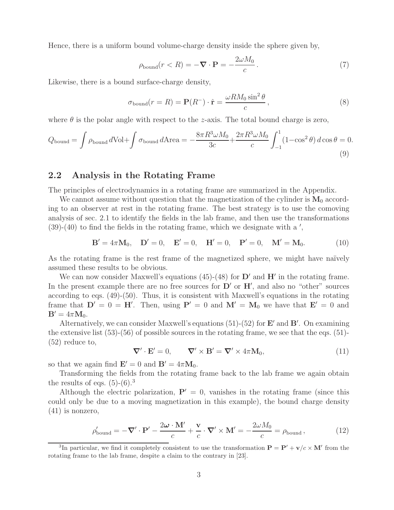Hence, there is a uniform bound volume-charge density inside the sphere given by,

$$
\rho_{\text{bound}}(r < R) = -\nabla \cdot \mathbf{P} = -\frac{2\omega M_0}{c} \,. \tag{7}
$$

Likewise, there is a bound surface-charge density,

$$
\sigma_{\text{bound}}(r=R) = \mathbf{P}(R^{-}) \cdot \hat{\mathbf{r}} = \frac{\omega R M_0 \sin^2 \theta}{c}, \qquad (8)
$$

where  $\theta$  is the polar angle with respect to the *z*-axis. The total bound charge is zero,

$$
Q_{\text{bound}} = \int \rho_{\text{bound}} d\text{Vol} + \int \sigma_{\text{bound}} d\text{Area} = -\frac{8\pi R^3 \omega M_0}{3c} + \frac{2\pi R^3 \omega M_0}{c} \int_{-1}^1 (1 - \cos^2 \theta) d\cos \theta = 0.
$$
\n(9)

#### **2.2 Analysis in the Rotating Frame**

The principles of electrodynamics in a rotating frame are summarized in the Appendix.

We cannot assume without question that the magnetization of the cylinder is  $M_0$  according to an observer at rest in the rotating frame. The best strategy is to use the comoving analysis of sec. 2.1 to identify the fields in the lab frame, and then use the transformations  $(39)-(40)$  to find the fields in the rotating frame, which we designate with a ',

$$
\mathbf{B}' = 4\pi \mathbf{M}_0, \quad \mathbf{D}' = 0, \quad \mathbf{E}' = 0, \quad \mathbf{H}' = 0, \quad \mathbf{P}' = 0, \quad \mathbf{M}' = \mathbf{M}_0. \tag{10}
$$

As the rotating frame is the rest frame of the magnetized sphere, we might have naïvely assumed these results to be obvious.

We can now consider Maxwell's equations  $(45)-(48)$  for  $D'$  and  $H'$  in the rotating frame. In the present example there are no free sources for  $D'$  or  $H'$ , and also no "other" sources according to eqs. (49)-(50). Thus, it is consistent with Maxwell's equations in the rotating frame that  $D' = 0 = H'$ . Then, using  $P' = 0$  and  $M' = M_0$  we have that  $E' = 0$  and  $\mathbf{B}' = 4\pi \mathbf{M}_0.$ 

Alternatively, we can consider Maxwell's equations (51)-(52) for **E'** and **B'**. On examining the extensive list  $(53)-(56)$  of possible sources in the rotating frame, we see that the eqs.  $(51)$ -(52) reduce to,

$$
\nabla' \cdot \mathbf{E}' = 0, \qquad \nabla' \times \mathbf{B}' = \nabla' \times 4\pi \mathbf{M}_0, \tag{11}
$$

so that we again find  $\mathbf{E}' = 0$  and  $\mathbf{B}' = 4\pi \mathbf{M}_0$ .

Transforming the fields from the rotating frame back to the lab frame we again obtain the results of eqs.  $(5)-(6)^3$ 

Although the electric polarization,  $P' = 0$ , vanishes in the rotating frame (since this could only be due to a moving magnetization in this example), the bound charge density (41) is nonzero,

$$
\rho'_{\text{bound}} = -\nabla' \cdot \mathbf{P}' - \frac{2\omega \cdot \mathbf{M}'}{c} + \frac{\mathbf{v}}{c} \cdot \nabla' \times \mathbf{M}' = -\frac{2\omega M_0}{c} = \rho_{\text{bound}}\,,\tag{12}
$$

<sup>3</sup>In particular, we find it completely consistent to use the transformation  $P = P' + v/c \times M'$  from the rotating frame to the lab frame, despite a claim to the contrary in [23].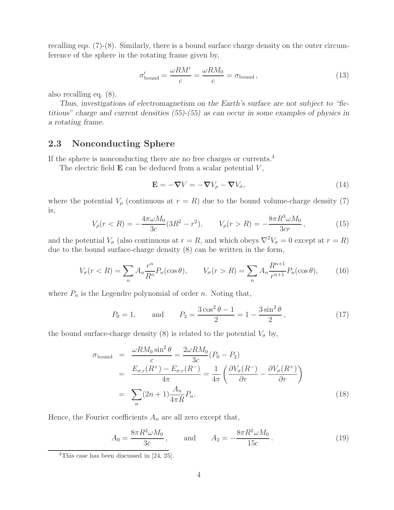recalling eqs. (7)-(8). Similarly, there is a bound surface charge density on the outer circumference of the sphere in the rotating frame given by,

$$
\sigma_{\text{bound}}' = \frac{\omega RM'}{c} = \frac{\omega RM_0}{c} = \sigma_{\text{bound}}\,,\tag{13}
$$

also recalling eq. (8).

*Thus, investigations of electromagnetism on the Earth's surface are not subject to "fictitious" charge and current densities (55)-(55) as can occur in some examples of physics in a rotating frame.*

### **2.3 Nonconducting Sphere**

If the sphere is nonconducting there are no free charges or currents.<sup>4</sup>

The electric field  $E$  can be deduced from a scalar potential  $V$ ,

$$
\mathbf{E} = -\nabla V = -\nabla V_{\rho} - \nabla V_{\sigma},\tag{14}
$$

where the potential  $V_\rho$  (continuous at  $r = R$ ) due to the bound volume-charge density (7) is,

$$
V_{\rho}(r < R) = -\frac{4\pi\omega M_0}{3c}(3R^2 - r^2), \qquad V_{\rho}(r > R) = -\frac{8\pi R^3 \omega M_0}{3cr}, \tag{15}
$$

and the potential  $V_{\sigma}$  (also continuous at  $r = R$ , and which obeys  $\nabla^2 V_{\sigma} = 0$  except at  $r = R$ ) due to the bound surface-charge density (8) can be written in the form,

$$
V_{\sigma}(r < R) = \sum_{n} A_{n} \frac{r^{n}}{R^{n}} P_{n}(\cos \theta), \qquad V_{\sigma}(r > R) = \sum_{n} A_{n} \frac{R^{n+1}}{r^{n+1}} P_{n}(\cos \theta), \qquad (16)
$$

where  $P_n$  is the Legendre polynomial of order n. Noting that,

$$
P_0 = 1,
$$
 and  $P_2 = \frac{3\cos^2\theta - 1}{2} = 1 - \frac{3\sin^2\theta}{2}$ , (17)

the bound surface-charge density (8) is related to the potential  $V_{\sigma}$  by,

$$
\sigma_{\text{bound}} = \frac{\omega R M_0 \sin^2 \theta}{c} = \frac{2\omega R M_0}{3c} (P_0 - P_2)
$$
  
= 
$$
\frac{E_{\sigma,r}(R^+) - E_{\sigma,r}(R^-)}{4\pi} = \frac{1}{4\pi} \left( \frac{\partial V_{\sigma}(R^-)}{\partial r} - \frac{\partial V_{\sigma}(R^+)}{\partial r} \right)
$$
  
= 
$$
\sum_n (2n+1) \frac{A_n}{4\pi R} P_n.
$$
 (18)

Hence, the Fourier coefficients  $A_n$  are all zero except that,

$$
A_0 = \frac{8\pi R^2 \omega M_0}{3c}, \quad \text{and} \quad A_2 = -\frac{8\pi R^2 \omega M_0}{15c}.
$$
 (19)

<sup>&</sup>lt;sup>4</sup>This case has been discussed in [24, 25].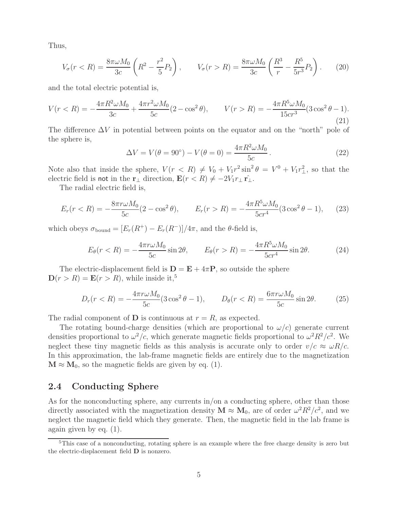Thus,

$$
V_{\sigma}(r < R) = \frac{8\pi\omega M_0}{3c} \left( R^2 - \frac{r^2}{5} P_2 \right), \qquad V_{\sigma}(r > R) = \frac{8\pi\omega M_0}{3c} \left( \frac{R^3}{r} - \frac{R^5}{5r^3} P_2 \right). \tag{20}
$$

and the total electric potential is,

$$
V(r < R) = -\frac{4\pi R^2 \omega M_0}{3c} + \frac{4\pi r^2 \omega M_0}{5c} (2 - \cos^2 \theta), \qquad V(r > R) = -\frac{4\pi R^5 \omega M_0}{15cr^3} (3\cos^2 \theta - 1).
$$
\n(21)

The difference  $\Delta V$  in potential between points on the equator and on the "north" pole of the sphere is,

$$
\Delta V = V(\theta = 90^{\circ}) - V(\theta = 0) = \frac{4\pi R^2 \omega M_0}{5c}.
$$
 (22)

Note also that inside the sphere,  $V(r < R) \neq V_0 + V_1 r^2 \sin^2 \theta = V^0 + V_1 r^2$ , so that the electric field is not in the **r**<sub>⊥</sub> direction,  $\mathbf{E}(r < R) \neq -2V_1r_{\perp} \hat{r_{\perp}}$ .

The radial electric field is,

$$
E_r(r < R) = -\frac{8\pi r \omega M_0}{5c} (2 - \cos^2 \theta), \qquad E_r(r > R) = -\frac{4\pi R^5 \omega M_0}{5cr^4} (3\cos^2 \theta - 1), \qquad (23)
$$

which obeys  $\sigma_{\text{bound}} = [E_r(R^+) - E_r(R^-)]/4\pi$ , and the  $\theta$ -field is,

$$
E_{\theta}(r < R) = -\frac{4\pi r \omega M_0}{5c} \sin 2\theta, \qquad E_{\theta}(r > R) = -\frac{4\pi R^5 \omega M_0}{5c^4} \sin 2\theta. \tag{24}
$$

The electric-displacement field is  $\mathbf{D} = \mathbf{E} + 4\pi \mathbf{P}$ , so outside the sphere  $\mathbf{D}(r>R) = \mathbf{E}(r>R)$ , while inside it,<sup>5</sup>

$$
D_r(r < R) = -\frac{4\pi r\omega M_0}{5c} (3\cos^2\theta - 1), \qquad D_\theta(r < R) = \frac{6\pi r\omega M_0}{5c} \sin 2\theta. \tag{25}
$$

The radial component of **D** is continuous at  $r = R$ , as expected.

The rotating bound-charge densities (which are proportional to  $\omega/c$ ) generate current densities proportional to  $\omega^2/c$ , which generate magnetic fields proportional to  $\omega^2 R^2/c^2$ . We neglect these tiny magnetic fields as this analysis is accurate only to order  $v/c \approx \omega R/c$ . In this approximation, the lab-frame magnetic fields are entirely due to the magnetization  $M \approx M_0$ , so the magnetic fields are given by eq. (1).

#### **2.4 Conducting Sphere**

As for the nonconducting sphere, any currents in/on a conducting sphere, other than those directly associated with the magnetization density  $\mathbf{M} \approx \mathbf{M}_0$ , are of order  $\omega^2 R^2/c^2$ , and we neglect the magnetic field which they generate. Then, the magnetic field in the lab frame is again given by eq. (1).

<sup>&</sup>lt;sup>5</sup>This case of a nonconducting, rotating sphere is an example where the free charge density is zero but the electric-displacement field **D** is nonzero.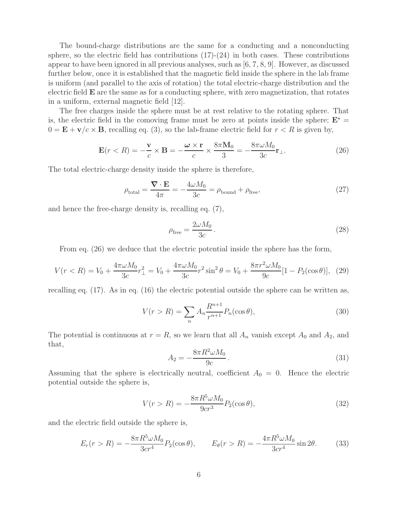The bound-charge distributions are the same for a conducting and a nonconducting sphere, so the electric field has contributions  $(17)-(24)$  in both cases. These contributions appear to have been ignored in all previous analyses, such as [6, 7, 8, 9]. However, as discussed further below, once it is established that the magnetic field inside the sphere in the lab frame is uniform (and parallel to the axis of rotation) the total electric-charge distribution and the electric field **E** are the same as for a conducting sphere, with zero magnetization, that rotates in a uniform, external magnetic field [12].

The free charges inside the sphere must be at rest relative to the rotating sphere. That is, the electric field in the comoving frame must be zero at points inside the sphere;  $E^*$  =  $0 = \mathbf{E} + \mathbf{v}/c \times \mathbf{B}$ , recalling eq. (3), so the lab-frame electric field for  $r < R$  is given by,

$$
\mathbf{E}(r < R) = -\frac{\mathbf{v}}{c} \times \mathbf{B} = -\frac{\boldsymbol{\omega} \times \mathbf{r}}{c} \times \frac{8\pi \mathbf{M}_0}{3} = -\frac{8\pi \omega M_0}{3c} \mathbf{r}_{\perp}.
$$
 (26)

The total electric-charge density inside the sphere is therefore,

$$
\rho_{\text{total}} = \frac{\nabla \cdot \mathbf{E}}{4\pi} = -\frac{4\omega M_0}{3c} = \rho_{\text{bound}} + \rho_{\text{free}},\tag{27}
$$

and hence the free-charge density is, recalling eq. (7),

$$
\rho_{\text{free}} = \frac{2\omega M_0}{3c} \,. \tag{28}
$$

From eq. (26) we deduce that the electric potential inside the sphere has the form,

$$
V(r < R) = V_0 + \frac{4\pi\omega M_0}{3c} r_{\perp}^2 = V_0 + \frac{4\pi\omega M_0}{3c} r^2 \sin^2 \theta = V_0 + \frac{8\pi r^2 \omega M_0}{9c} [1 - P_2(\cos \theta)], \tag{29}
$$

recalling eq. (17). As in eq. (16) the electric potential outside the sphere can be written as,

$$
V(r > R) = \sum_{n} A_n \frac{R^{n+1}}{r^{n+1}} P_n(\cos \theta),
$$
\n(30)

The potential is continuous at  $r = R$ , so we learn that all  $A_n$  vanish except  $A_0$  and  $A_2$ , and that,

$$
A_2 = -\frac{8\pi R^2 \omega M_0}{9c} \,. \tag{31}
$$

Assuming that the sphere is electrically neutral, coefficient  $A_0 = 0$ . Hence the electric potential outside the sphere is,

$$
V(r > R) = -\frac{8\pi R^5 \omega M_0}{9cr^3} P_2(\cos\theta),
$$
\n(32)

and the electric field outside the sphere is,

$$
E_r(r > R) = -\frac{8\pi R^5 \omega M_0}{3cr^4} P_2(\cos\theta), \qquad E_\theta(r > R) = -\frac{4\pi R^5 \omega M_0}{3cr^4} \sin 2\theta. \tag{33}
$$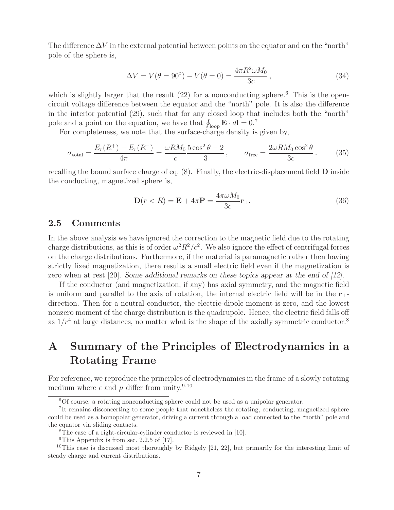The difference  $\Delta V$  in the external potential between points on the equator and on the "north" pole of the sphere is,

$$
\Delta V = V(\theta = 90^{\circ}) - V(\theta = 0) = \frac{4\pi R^2 \omega M_0}{3c},
$$
\n(34)

which is slightly larger that the result  $(22)$  for a nonconducting sphere.<sup>6</sup> This is the opencircuit voltage difference between the equator and the "north" pole. It is also the difference in the interior potential (29), such that for any closed loop that includes both the "north" pole and a point on the equation, we have that  $\oint_{\text{loop}} \mathbf{E} \cdot d\mathbf{l} = 0$ .<sup>7</sup>

For completeness, we note that the surface-charge density is given by,

$$
\sigma_{\text{total}} = \frac{E_r(R^+) - E_r(R^-)}{4\pi} = \frac{\omega R M_0}{c} \frac{5 \cos^2 \theta - 2}{3}, \qquad \sigma_{\text{free}} = \frac{2\omega R M_0 \cos^2 \theta}{3c}.
$$
 (35)

recalling the bound surface charge of eq. (8). Finally, the electric-displacement field **D** inside the conducting, magnetized sphere is,

$$
\mathbf{D}(r < R) = \mathbf{E} + 4\pi \mathbf{P} = \frac{4\pi\omega M_0}{3c} \mathbf{r}_{\perp}.
$$
\n
$$
(36)
$$

#### **2.5 Comments**

In the above analysis we have ignored the correction to the magnetic field due to the rotating charge distributions, as this is of order  $\omega^2 R^2/c^2$ . We also ignore the effect of centrifugal forces on the charge distributions. Furthermore, if the material is paramagnetic rather then having strictly fixed magnetization, there results a small electric field even if the magnetization is zero when at rest [20]. *Some additional remarks on these topics appear at the end of [12].*

If the conductor (and magnetization, if any) has axial symmetry, and the magnetic field is uniform and parallel to the axis of rotation, the internal electric field will be in the **r**⊥ direction. Then for a neutral conductor, the electric-dipole moment is zero, and the lowest nonzero moment of the charge distribution is the quadrupole. Hence, the electric field falls off as  $1/r^4$  at large distances, no matter what is the shape of the axially symmetric conductor.<sup>8</sup>

## **A Summary of the Principles of Electrodynamics in a Rotating Frame**

For reference, we reproduce the principles of electrodynamics in the frame of a slowly rotating medium where  $\epsilon$  and  $\mu$  differ from unity.<sup>9,10</sup>

<sup>6</sup>Of course, a rotating nonconducting sphere could not be used as a unipolar generator.

<sup>7</sup>It remains disconcerting to some people that nonetheless the rotating, conducting, magnetized sphere could be used as a homopolar generator, driving a current through a load connected to the "north" pole and the equator via sliding contacts.

<sup>8</sup>The case of a right-circular-cylinder conductor is reviewed in [10].

<sup>&</sup>lt;sup>9</sup>This Appendix is from sec. 2.2.5 of [17].

<sup>&</sup>lt;sup>10</sup>This case is discussed most thoroughly by Ridgely  $[21, 22]$ , but primarily for the interesting limit of steady charge and current distributions.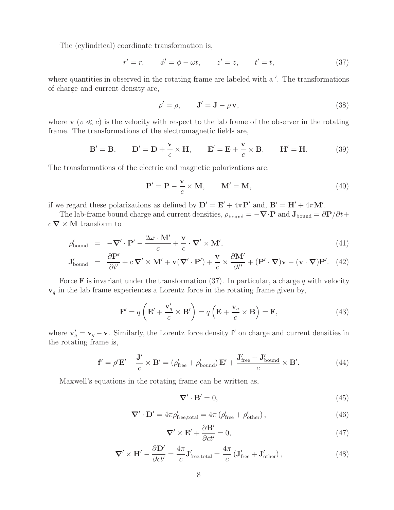The (cylindrical) coordinate transformation is,

$$
r' = r,
$$
  $\phi' = \phi - \omega t,$   $z' = z,$   $t' = t,$  (37)

where quantities in observed in the rotating frame are labeled with a '. The transformations of charge and current density are,

$$
\rho' = \rho, \qquad \mathbf{J}' = \mathbf{J} - \rho \mathbf{v}, \tag{38}
$$

where **v** ( $v \ll c$ ) is the velocity with respect to the lab frame of the observer in the rotating frame. The transformations of the electromagnetic fields are,

$$
\mathbf{B}' = \mathbf{B}, \qquad \mathbf{D}' = \mathbf{D} + \frac{\mathbf{v}}{c} \times \mathbf{H}, \qquad \mathbf{E}' = \mathbf{E} + \frac{\mathbf{v}}{c} \times \mathbf{B}, \qquad \mathbf{H}' = \mathbf{H}.
$$
 (39)

The transformations of the electric and magnetic polarizations are,

$$
\mathbf{P}' = \mathbf{P} - \frac{\mathbf{v}}{c} \times \mathbf{M}, \qquad \mathbf{M}' = \mathbf{M}, \tag{40}
$$

if we regard these polarizations as defined by  $\mathbf{D}' = \mathbf{E}' + 4\pi \mathbf{P}'$  and,  $\mathbf{B}' = \mathbf{H}' + 4\pi \mathbf{M}'$ .

The lab-frame bound charge and current densities,  $\rho_{\text{bound}} = -\nabla \cdot \mathbf{P}$  and  $\mathbf{J}_{\text{bound}} = \partial \mathbf{P}/\partial t +$  $c \, \boldsymbol{\nabla} \times \mathbf{M}$  transform to

$$
\rho'_{\text{bound}} = -\nabla' \cdot \mathbf{P}' - \frac{2\omega \cdot \mathbf{M}'}{c} + \frac{\mathbf{v}}{c} \cdot \nabla' \times \mathbf{M}',\tag{41}
$$

$$
\mathbf{J}_{\text{bound}}' = \frac{\partial \mathbf{P}'}{\partial t'} + c \, \nabla' \times \mathbf{M}' + \mathbf{v} (\nabla' \cdot \mathbf{P}') + \frac{\mathbf{v}}{c} \times \frac{\partial \mathbf{M}'}{\partial t'} + (\mathbf{P}' \cdot \nabla) \mathbf{v} - (\mathbf{v} \cdot \nabla) \mathbf{P}'. \tag{42}
$$

Force **F** is invariant under the transformation (37). In particular, a charge q with velocity  $\mathbf{v}_q$  in the lab frame experiences a Lorentz force in the rotating frame given by,

$$
\mathbf{F}' = q\left(\mathbf{E}' + \frac{\mathbf{v}'_q}{c} \times \mathbf{B}'\right) = q\left(\mathbf{E} + \frac{\mathbf{v}_q}{c} \times \mathbf{B}\right) = \mathbf{F},\tag{43}
$$

where  $\mathbf{v}'_q = \mathbf{v}_q - \mathbf{v}$ . Similarly, the Lorentz force density **f**' on charge and current densities in the rotating frame is,

$$
\mathbf{f}' = \rho' \mathbf{E}' + \frac{\mathbf{J}'}{c} \times \mathbf{B}' = (\rho'_{\text{free}} + \rho'_{\text{bound}}) \mathbf{E}' + \frac{\mathbf{J}'_{\text{free}} + \mathbf{J}'_{\text{bound}}}{c} \times \mathbf{B}'. \tag{44}
$$

Maxwell's equations in the rotating frame can be written as,

$$
\nabla' \cdot \mathbf{B}' = 0,\tag{45}
$$

$$
\nabla' \cdot \mathbf{D}' = 4\pi \rho'_{\text{free,total}} = 4\pi \left( \rho'_{\text{free}} + \rho'_{\text{other}} \right),\tag{46}
$$

$$
\nabla' \times \mathbf{E}' + \frac{\partial \mathbf{B}'}{\partial ct'} = 0,\tag{47}
$$

$$
\nabla' \times \mathbf{H}' - \frac{\partial \mathbf{D}'}{\partial ct'} = \frac{4\pi}{c} \mathbf{J}'_{\text{free,total}} = \frac{4\pi}{c} \left( \mathbf{J}'_{\text{free}} + \mathbf{J}'_{\text{other}} \right),\tag{48}
$$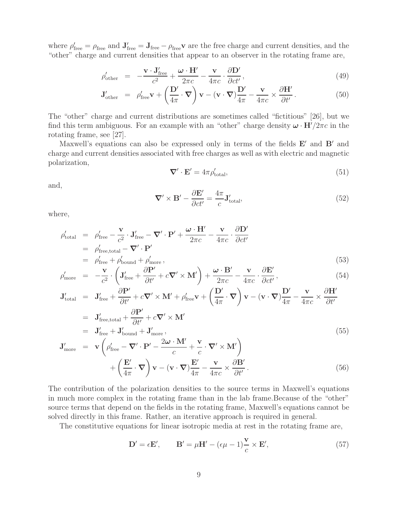where  $\rho'_{\text{free}} = \rho_{\text{free}}$  and  $\mathbf{J}'_{\text{free}} = \mathbf{J}_{\text{free}} - \rho_{\text{free}}\mathbf{v}$  are the free charge and current densities, and the "other" charge and current densities that appear to an observer in the rotating frame are,

$$
\rho'_{\text{other}} = -\frac{\mathbf{v} \cdot \mathbf{J}_{\text{free}}'}{c^2} + \frac{\boldsymbol{\omega} \cdot \mathbf{H}'}{2\pi c} - \frac{\mathbf{v}}{4\pi c} \cdot \frac{\partial \mathbf{D}'}{\partial ct'},
$$
\n(49)

$$
\mathbf{J}_{\text{other}}' = \rho_{\text{free}}' \mathbf{v} + \left(\frac{\mathbf{D}'}{4\pi} \cdot \mathbf{\nabla}\right) \mathbf{v} - (\mathbf{v} \cdot \mathbf{\nabla}) \frac{\mathbf{D}'}{4\pi} - \frac{\mathbf{v}}{4\pi c} \times \frac{\partial \mathbf{H}'}{\partial t'}.
$$
(50)

The "other" charge and current distributions are sometimes called "fictitious" [26], but we find this term ambiguous. For an example with an "other" charge density  $\omega \cdot \mathbf{H}^7/2\pi c$  in the rotating frame, see [27].

Maxwell's equations can also be expressed only in terms of the fields  $E'$  and  $B'$  and charge and current densities associated with free charges as well as with electric and magnetic polarization,

$$
\nabla' \cdot \mathbf{E}' = 4\pi \rho'_{\text{total}},\tag{51}
$$

and,

$$
\nabla' \times \mathbf{B}' - \frac{\partial \mathbf{E}'}{\partial ct'} = \frac{4\pi}{c} \mathbf{J}'_{\text{total}},\tag{52}
$$

where,

$$
\rho'_{\text{total}} = \rho'_{\text{free}} - \frac{\mathbf{v}}{c^2} \cdot \mathbf{J}'_{\text{free}} - \nabla' \cdot \mathbf{P}' + \frac{\boldsymbol{\omega} \cdot \mathbf{H}'}{2\pi c} - \frac{\mathbf{v}}{4\pi c} \cdot \frac{\partial \mathbf{D}'}{\partial ct'}
$$
\n
$$
= \rho'_{\text{free,total}} - \nabla' \cdot \mathbf{P}'
$$
\n
$$
= \rho'_{\text{free}} + \rho'_{\text{bound}} + \rho'_{\text{more}} ,
$$
\n(53)

$$
\rho'_{\text{more}} = -\frac{\mathbf{v}}{c^2} \cdot \left( \mathbf{J}'_{\text{free}} + \frac{\partial \mathbf{P}'}{\partial t'} + c \nabla' \times \mathbf{M}' \right) + \frac{\boldsymbol{\omega} \cdot \mathbf{B}'}{2\pi c} - \frac{\mathbf{v}}{4\pi c} \cdot \frac{\partial \mathbf{E}'}{\partial ct'},
$$
\n(54)

$$
\mathbf{J}_{\text{total}}' = \mathbf{J}_{\text{free}}' + \frac{\partial \mathbf{P}'}{\partial t'} + c \nabla' \times \mathbf{M}' + \rho_{\text{free}}' \mathbf{v} + \left(\frac{\mathbf{D}'}{4\pi} \cdot \nabla\right) \mathbf{v} - (\mathbf{v} \cdot \nabla)\frac{\mathbf{D}'}{4\pi} - \frac{\mathbf{v}}{4\pi c} \times \frac{\partial \mathbf{H}'}{\partial t'}
$$
\n
$$
= \mathbf{J}_{\text{free,total}}' + \frac{\partial \mathbf{P}'}{\partial t'} + c \nabla' \times \mathbf{M}'
$$
\n
$$
= \mathbf{J}_{\text{free}}' + \mathbf{J}_{\text{bound}}' + \mathbf{J}_{\text{more}}',
$$
\n
$$
\mathbf{J}_{\text{more}}' = \mathbf{v} \left(\rho_{\text{free}}' - \nabla' \cdot \mathbf{P}' - \frac{2\omega \cdot \mathbf{M}'}{c} + \frac{\mathbf{v}}{c} \cdot \nabla' \times \mathbf{M}'\right) + \left(\frac{\mathbf{E}'}{4\pi} \cdot \nabla\right) \mathbf{v} - (\mathbf{v} \cdot \nabla)\frac{\mathbf{E}'}{4\pi} - \frac{\mathbf{v}}{4\pi c} \times \frac{\partial \mathbf{B}'}{\partial t'}.
$$
\n(56)

The contribution of the polarization densities to the source terms in Maxwell's equations in much more complex in the rotating frame than in the lab frame.Because of the "other" source terms that depend on the fields in the rotating frame, Maxwell's equations cannot be solved directly in this frame. Rather, an iterative approach is required in general.

The constitutive equations for linear isotropic media at rest in the rotating frame are,

$$
\mathbf{D}' = \epsilon \mathbf{E}', \qquad \mathbf{B}' = \mu \mathbf{H}' - (\epsilon \mu - 1) \frac{\mathbf{v}}{c} \times \mathbf{E}', \tag{57}
$$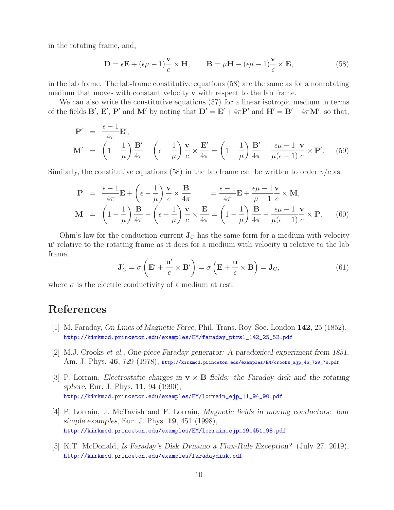in the rotating frame, and,

$$
\mathbf{D} = \epsilon \mathbf{E} + (\epsilon \mu - 1) \frac{\mathbf{v}}{c} \times \mathbf{H}, \qquad \mathbf{B} = \mu \mathbf{H} - (\epsilon \mu - 1) \frac{\mathbf{v}}{c} \times \mathbf{E}, \tag{58}
$$

in the lab frame. The lab-frame constitutive equations (58) are the same as for a nonrotating medium that moves with constant velocity **v** with respect to the lab frame.

We can also write the constitutive equations (57) for a linear isotropic medium in terms of the fields **B**', **E**', **P**' and **M**' by noting that  $\mathbf{D}' = \mathbf{E}' + 4\pi \mathbf{P}'$  and  $\mathbf{H}' = \mathbf{B}' - 4\pi \mathbf{M}'$ , so that,

$$
\mathbf{P}' = \frac{\epsilon - 1}{4\pi} \mathbf{E}',
$$
\n
$$
\mathbf{M}' = \left(1 - \frac{1}{\mu}\right) \frac{\mathbf{B}'}{4\pi} - \left(\epsilon - \frac{1}{\mu}\right) \frac{\mathbf{v}}{c} \times \frac{\mathbf{E}'}{4\pi} = \left(1 - \frac{1}{\mu}\right) \frac{\mathbf{B}'}{4\pi} - \frac{\epsilon \mu - 1}{\mu(\epsilon - 1)} \frac{\mathbf{v}}{c} \times \mathbf{P}'. \quad (59)
$$

Similarly, the constitutive equations (58) in the lab frame can be written to order  $v/c$  as,

$$
\mathbf{P} = \frac{\epsilon - 1}{4\pi} \mathbf{E} + \left(\epsilon - \frac{1}{\mu}\right) \frac{\mathbf{v}}{c} \times \frac{\mathbf{B}}{4\pi} = \frac{\epsilon - 1}{4\pi} \mathbf{E} + \frac{\epsilon \mu - 1}{\mu - 1} \frac{\mathbf{v}}{c} \times \mathbf{M},
$$
\n
$$
\mathbf{M} = \left(1 - \frac{1}{\mu}\right) \frac{\mathbf{B}}{4\pi} - \left(\epsilon - \frac{1}{\mu}\right) \frac{\mathbf{v}}{c} \times \frac{\mathbf{E}}{4\pi} = \left(1 - \frac{1}{\mu}\right) \frac{\mathbf{B}}{4\pi} - \frac{\epsilon \mu - 1}{\mu(\epsilon - 1)} \frac{\mathbf{v}}{c} \times \mathbf{P}.
$$
\n(60)

Ohm's law for the conduction current  $J_C$  has the same form for a medium with velocity **u** relative to the rotating frame as it does for a medium with velocity **u** relative to the lab frame,

$$
\mathbf{J}'_C = \sigma \left( \mathbf{E}' + \frac{\mathbf{u}'}{c} \times \mathbf{B}' \right) = \sigma \left( \mathbf{E} + \frac{\mathbf{u}}{c} \times \mathbf{B} \right) = \mathbf{J}_C,\tag{61}
$$

where  $\sigma$  is the electric conductivity of a medium at rest.

### **References**

- [1] M. Faraday, *On Lines of Magnetic Force*, Phil. Trans. Roy. Soc. London **142**, 25 (1852), http://kirkmcd.princeton.edu/examples/EM/faraday\_ptrsl\_142\_25\_52.pdf
- [2] M.J. Crooks *et al.*, *One-piece Faraday generator: A paradoxical experiment from 1851*, Am. J. Phys. **46**, 729 (1978), http://kirkmcd.princeton.edu/examples/EM/crooks\_ajp\_46\_729\_78.pdf
- [3] P. Lorrain, *Electrostatic charges in* **v** × **B** *fields: the Faraday disk and the rotating sphere*, Eur. J. Phys. **11**, 94 (1990), http://kirkmcd.princeton.edu/examples/EM/lorrain\_ejp\_11\_94\_90.pdf
- [4] P. Lorrain, J. McTavish and F. Lorrain, *Magnetic fields in moving conductors: four simple examples*, Eur. J. Phys. **19**, 451 (1998), http://kirkmcd.princeton.edu/examples/EM/lorrain\_ejp\_19\_451\_98.pdf
- [5] K.T. McDonald, *Is Faraday's Disk Dynamo a Flux-Rule Exception?* (July 27, 2019), http://kirkmcd.princeton.edu/examples/faradaydisk.pdf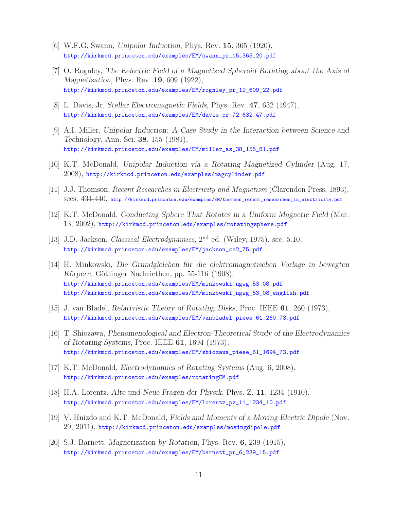- [6] W.F.G. Swann, *Unipolar Induction*, Phys. Rev. **15**, 365 (1920), http://kirkmcd.princeton.edu/examples/EM/swann\_pr\_15\_365\_20.pdf
- [7] O. Rognley, *The Eelectric Field of a Magnetized Spheroid Rotating about the Axis of Magnetization*, Phys. Rev. **19**, 609 (1922), http://kirkmcd.princeton.edu/examples/EM/rognley\_pr\_19\_609\_22.pdf
- [8] L. Davis, Jr, *Stellar Electromagnetic Fields*, Phys. Rev. **47**, 632 (1947), http://kirkmcd.princeton.edu/examples/EM/davis\_pr\_72\_632\_47.pdf
- [9] A.I. Miller, *Unipolar Induction: A Case Study in the Interaction between Science and Technology*, Ann. Sci. **38**, 155 (1981), http://kirkmcd.princeton.edu/examples/EM/miller\_as\_38\_155\_81.pdf
- [10] K.T. McDonald, *Unipolar Induction via a Rotating Magnetized Cylinder* (Aug. 17, 2008), http://kirkmcd.princeton.edu/examples/magcylinder.pdf
- [11] J.J. Thomson, *Recent Researches in Electricity and Magnetism* (Clarendon Press, 1893), secs. 434-440, http://kirkmcd.princeton.edu/examples/EM/thomson\_recent\_researches\_in\_electricity.pdf
- [12] K.T. McDonald, *Conducting Sphere That Rotates in a Uniform Magnetic Field* (Mar. 13, 2002), http://kirkmcd.princeton.edu/examples/rotatingsphere.pdf
- [13] J.D. Jackson, *Classical Electrodynamics*, 2nd ed. (Wiley, 1975), sec. 5.10, http://kirkmcd.princeton.edu/examples/EM/jackson\_ce2\_75.pdf
- [14] H. Minkowski, *Die Grundgleichen f¨ur die elektromagnetischen Vorlage in bewegten Körpern*, Göttinger Nachricthen, pp. 55-116 (1908), http://kirkmcd.princeton.edu/examples/EM/minkowski\_ngwg\_53\_08.pdf http://kirkmcd.princeton.edu/examples/EM/minkowski\_ngwg\_53\_08\_english.pdf
- [15] J. van Bladel, *Relativistic Theory of Rotating Disks*, Proc. IEEE **61**, 260 (1973), http://kirkmcd.princeton.edu/examples/EM/vanbladel\_pieee\_61\_260\_73.pdf
- [16] T. Shiozawa, *Phenomenological and Electron-Theoretical Study of the Electrodynamics of Rotating Systems*, Proc. IEEE **61**, 1694 (1973), http://kirkmcd.princeton.edu/examples/EM/shiozawa\_pieee\_61\_1694\_73.pdf
- [17] K.T. McDonald, *Electrodynamics of Rotating Systems* (Aug. 6, 2008), http://kirkmcd.princeton.edu/examples/rotatingEM.pdf
- [18] H.A. Lorentz, *Alte und Neue Fragen der Physik*, Phys. Z. **11**, 1234 (1910), http://kirkmcd.princeton.edu/examples/EM/lorentz\_pz\_11\_1234\_10.pdf
- [19] V. Hnizdo and K.T. McDonald, *Fields and Moments of a Moving Electric Dipole* (Nov. 29, 2011), http://kirkmcd.princeton.edu/examples/movingdipole.pdf
- [20] S.J. Barnett, *Magnetization by Rotation*, Phys. Rev. **6**, 239 (1915), http://kirkmcd.princeton.edu/examples/EM/barnett\_pr\_6\_239\_15.pdf